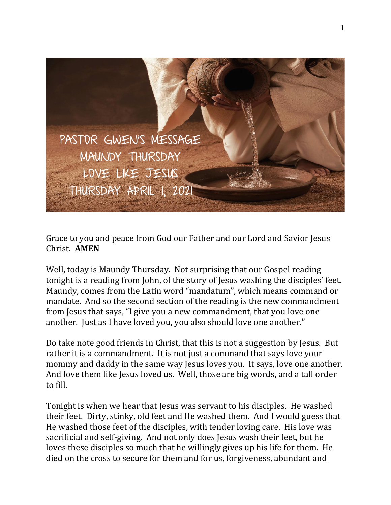

Grace to you and peace from God our Father and our Lord and Savior Jesus Christ. **AMEN**

Well, today is Maundy Thursday. Not surprising that our Gospel reading tonight is a reading from John, of the story of Jesus washing the disciples' feet. Maundy, comes from the Latin word "mandatum", which means command or mandate. And so the second section of the reading is the new commandment from Jesus that says, "I give you a new commandment, that you love one another. Just as I have loved you, you also should love one another."

Do take note good friends in Christ, that this is not a suggestion by Jesus. But rather it is a commandment. It is not just a command that says love your mommy and daddy in the same way Jesus loves you. It says, love one another. And love them like Jesus loved us. Well, those are big words, and a tall order to fill.

Tonight is when we hear that Jesus was servant to his disciples. He washed their feet. Dirty, stinky, old feet and He washed them. And I would guess that He washed those feet of the disciples, with tender loving care. His love was sacrificial and self-giving. And not only does Jesus wash their feet, but he loves these disciples so much that he willingly gives up his life for them. He died on the cross to secure for them and for us, forgiveness, abundant and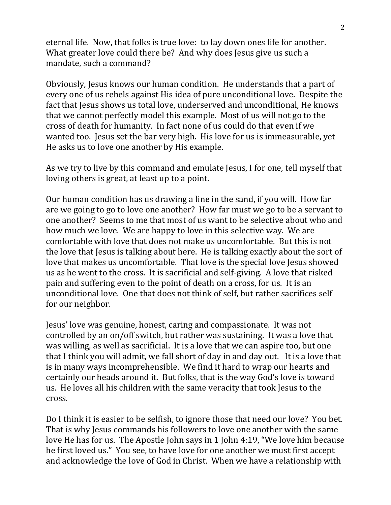eternal life. Now, that folks is true love: to lay down ones life for another. What greater love could there be? And why does Jesus give us such a mandate, such a command?

Obviously, Jesus knows our human condition. He understands that a part of every one of us rebels against His idea of pure unconditional love. Despite the fact that Jesus shows us total love, underserved and unconditional, He knows that we cannot perfectly model this example. Most of us will not go to the cross of death for humanity. In fact none of us could do that even if we wanted too. Jesus set the bar very high. His love for us is immeasurable, yet He asks us to love one another by His example.

As we try to live by this command and emulate Jesus, I for one, tell myself that loving others is great, at least up to a point.

Our human condition has us drawing a line in the sand, if you will. How far are we going to go to love one another? How far must we go to be a servant to one another? Seems to me that most of us want to be selective about who and how much we love. We are happy to love in this selective way. We are comfortable with love that does not make us uncomfortable. But this is not the love that Jesus is talking about here. He is talking exactly about the sort of love that makes us uncomfortable. That love is the special love Jesus showed us as he went to the cross. It is sacrificial and self-giving. A love that risked pain and suffering even to the point of death on a cross, for us. It is an unconditional love. One that does not think of self, but rather sacrifices self for our neighbor.

Jesus' love was genuine, honest, caring and compassionate. It was not controlled by an on/off switch, but rather was sustaining. It was a love that was willing, as well as sacrificial. It is a love that we can aspire too, but one that I think you will admit, we fall short of day in and day out. It is a love that is in many ways incomprehensible. We find it hard to wrap our hearts and certainly our heads around it. But folks, that is the way God's love is toward us. He loves all his children with the same veracity that took Jesus to the cross.

Do I think it is easier to be selfish, to ignore those that need our love? You bet. That is why Jesus commands his followers to love one another with the same love He has for us. The Apostle John says in 1 John 4:19, "We love him because he first loved us." You see, to have love for one another we must first accept and acknowledge the love of God in Christ. When we have a relationship with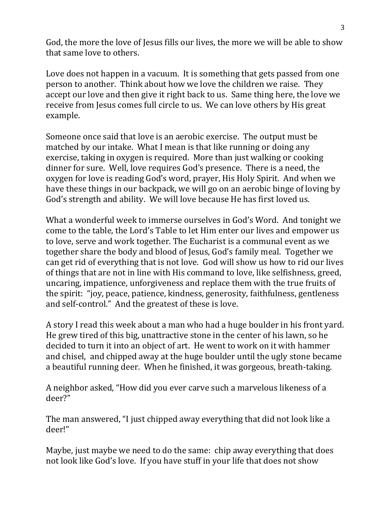God, the more the love of Jesus fills our lives, the more we will be able to show that same love to others.

Love does not happen in a vacuum. It is something that gets passed from one person to another. Think about how we love the children we raise. They accept our love and then give it right back to us. Same thing here, the love we receive from Jesus comes full circle to us. We can love others by His great example.

Someone once said that love is an aerobic exercise. The output must be matched by our intake. What I mean is that like running or doing any exercise, taking in oxygen is required. More than just walking or cooking dinner for sure. Well, love requires God's presence. There is a need, the oxygen for love is reading God's word, prayer, His Holy Spirit. And when we have these things in our backpack, we will go on an aerobic binge of loving by God's strength and ability. We will love because He has first loved us.

What a wonderful week to immerse ourselves in God's Word. And tonight we come to the table, the Lord's Table to let Him enter our lives and empower us to love, serve and work together. The Eucharist is a communal event as we together share the body and blood of Jesus, God's family meal. Together we can get rid of everything that is not love. God will show us how to rid our lives of things that are not in line with His command to love, like selfishness, greed, uncaring, impatience, unforgiveness and replace them with the true fruits of the spirit: "joy, peace, patience, kindness, generosity, faithfulness, gentleness and self-control." And the greatest of these is love.

A story I read this week about a man who had a huge boulder in his front yard. He grew tired of this big, unattractive stone in the center of his lawn, so he decided to turn it into an object of art. He went to work on it with hammer and chisel, and chipped away at the huge boulder until the ugly stone became a beautiful running deer. When he finished, it was gorgeous, breath-taking.

A neighbor asked, "How did you ever carve such a marvelous likeness of a deer?"

The man answered, "I just chipped away everything that did not look like a deer!"

Maybe, just maybe we need to do the same: chip away everything that does not look like God's love. If you have stuff in your life that does not show